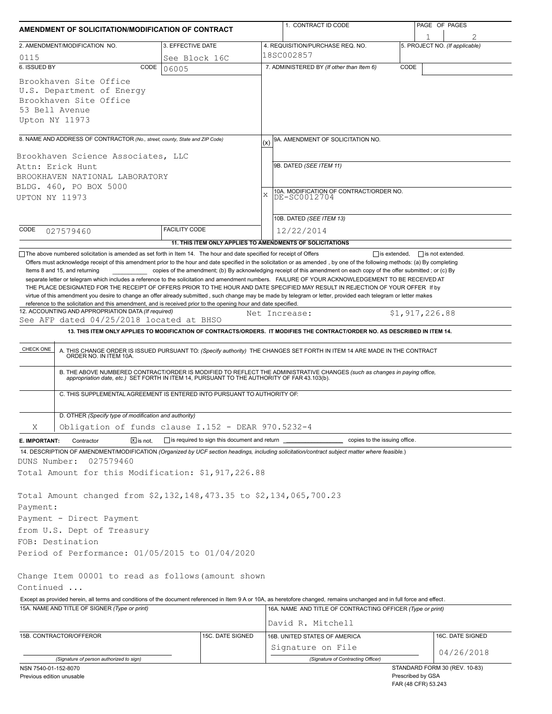| AMENDMENT OF SOLICITATION/MODIFICATION OF CONTRACT                                                                                                                                                                         |                              |                      |                                                                                                                                     | 1. CONTRACT ID CODE |                                                                                                                                                                                                                                                                                                                                                                              |      | PAGE OF PAGES  |                                |  |
|----------------------------------------------------------------------------------------------------------------------------------------------------------------------------------------------------------------------------|------------------------------|----------------------|-------------------------------------------------------------------------------------------------------------------------------------|---------------------|------------------------------------------------------------------------------------------------------------------------------------------------------------------------------------------------------------------------------------------------------------------------------------------------------------------------------------------------------------------------------|------|----------------|--------------------------------|--|
|                                                                                                                                                                                                                            |                              |                      |                                                                                                                                     |                     |                                                                                                                                                                                                                                                                                                                                                                              |      |                |                                |  |
| 2. AMENDMENT/MODIFICATION NO.                                                                                                                                                                                              |                              | 3. EFFECTIVE DATE    |                                                                                                                                     |                     | 4. REQUISITION/PURCHASE REQ. NO.<br>18SC002857                                                                                                                                                                                                                                                                                                                               |      |                | 5. PROJECT NO. (If applicable) |  |
| 0115<br>6. ISSUED BY                                                                                                                                                                                                       | CODE                         | See Block 16C        |                                                                                                                                     |                     | 7. ADMINISTERED BY (If other than Item 6)                                                                                                                                                                                                                                                                                                                                    | CODE |                |                                |  |
| Brookhaven Site Office<br>U.S. Department of Energy<br>Brookhaven Site Office<br>53 Bell Avenue<br>Upton NY 11973                                                                                                          |                              | 06005                |                                                                                                                                     |                     |                                                                                                                                                                                                                                                                                                                                                                              |      |                |                                |  |
|                                                                                                                                                                                                                            |                              |                      |                                                                                                                                     |                     |                                                                                                                                                                                                                                                                                                                                                                              |      |                |                                |  |
| 8. NAME AND ADDRESS OF CONTRACTOR (No., street, county, State and ZIP Code)<br>Brookhaven Science Associates, LLC<br>Attn: Erick Hunt<br>BROOKHAVEN NATIONAL LABORATORY<br>BLDG. 460, PO BOX 5000<br>UPTON NY 11973        |                              |                      | 9A. AMENDMENT OF SOLICITATION NO.<br>(x)<br>9B. DATED (SEE ITEM 11)<br>10A. MODIFICATION OF CONTRACT/ORDER NO.<br>X<br>DE-SC0012704 |                     |                                                                                                                                                                                                                                                                                                                                                                              |      |                |                                |  |
|                                                                                                                                                                                                                            |                              |                      |                                                                                                                                     |                     |                                                                                                                                                                                                                                                                                                                                                                              |      |                |                                |  |
|                                                                                                                                                                                                                            |                              |                      |                                                                                                                                     |                     | 10B. DATED (SEE ITEM 13)                                                                                                                                                                                                                                                                                                                                                     |      |                |                                |  |
| CODE<br>027579460                                                                                                                                                                                                          |                              | <b>FACILITY CODE</b> |                                                                                                                                     |                     | 12/22/2014                                                                                                                                                                                                                                                                                                                                                                   |      |                |                                |  |
|                                                                                                                                                                                                                            |                              |                      |                                                                                                                                     |                     | 11. THIS ITEM ONLY APPLIES TO AMENDMENTS OF SOLICITATIONS                                                                                                                                                                                                                                                                                                                    |      |                |                                |  |
| reference to the solicitation and this amendment, and is received prior to the opening hour and date specified.<br>12. ACCOUNTING AND APPROPRIATION DATA (If required)<br>See AFP dated 04/25/2018 located at BHSO         |                              |                      |                                                                                                                                     |                     | virtue of this amendment you desire to change an offer already submitted, such change may be made by telegram or letter, provided each telegram or letter makes<br>Net Increase:                                                                                                                                                                                             |      | \$1,917,226.88 |                                |  |
|                                                                                                                                                                                                                            |                              |                      |                                                                                                                                     |                     | 13. THIS ITEM ONLY APPLIES TO MODIFICATION OF CONTRACTS/ORDERS. IT MODIFIES THE CONTRACT/ORDER NO. AS DESCRIBED IN ITEM 14.                                                                                                                                                                                                                                                  |      |                |                                |  |
| CHECK ONE                                                                                                                                                                                                                  |                              |                      | C. THIS SUPPLEMENTAL AGREEMENT IS ENTERED INTO PURSUANT TO AUTHORITY OF:                                                            |                     | A. THIS CHANGE ORDER IS ISSUED PURSUANT TO: (Specify authority) THE CHANGES SET FORTH IN ITEM 14 ARE MADE IN THE CONTRACT ORDER NO. IN ITEM 10A.<br>B. THE ABOVE NUMBERED CONTRACT/ORDER IS MODIFIED TO REFLECT THE ADMINISTRATIVE CHANGES (such as changes in paying office,<br>appropriation date, etc.) SET FORTH IN ITEM 14, PURSUANT TO THE AUTHORITY OF FAR 43.103(b). |      |                |                                |  |
| D. OTHER (Specify type of modification and authority)                                                                                                                                                                      |                              |                      |                                                                                                                                     |                     |                                                                                                                                                                                                                                                                                                                                                                              |      |                |                                |  |
| X                                                                                                                                                                                                                          |                              |                      | Obligation of funds clause I.152 - DEAR 970.5232-4                                                                                  |                     |                                                                                                                                                                                                                                                                                                                                                                              |      |                |                                |  |
| Contractor<br>E. IMPORTANT:                                                                                                                                                                                                | $\boxed{\mathsf{x}}$ is not. |                      | is required to sign this document and return                                                                                        |                     | copies to the issuing office.                                                                                                                                                                                                                                                                                                                                                |      |                |                                |  |
| DUNS Number:<br>027579460<br>Total Amount for this Modification: \$1,917,226.88                                                                                                                                            |                              |                      |                                                                                                                                     |                     | 14. DESCRIPTION OF AMENDMENT/MODIFICATION (Organized by UCF section headings, including solicitation/contract subject matter where feasible.)                                                                                                                                                                                                                                |      |                |                                |  |
| Total Amount changed from \$2,132,148,473.35 to \$2,134,065,700.23<br>Payment:<br>Payment - Direct Payment<br>from U.S. Dept of Treasury<br>FOB: Destination                                                               |                              |                      |                                                                                                                                     |                     |                                                                                                                                                                                                                                                                                                                                                                              |      |                |                                |  |
| Period of Performance: 01/05/2015 to 01/04/2020                                                                                                                                                                            |                              |                      |                                                                                                                                     |                     |                                                                                                                                                                                                                                                                                                                                                                              |      |                |                                |  |
|                                                                                                                                                                                                                            |                              |                      |                                                                                                                                     |                     |                                                                                                                                                                                                                                                                                                                                                                              |      |                |                                |  |
| Except as provided herein, all terms and conditions of the document referenced in Item 9 A or 10A, as heretofore changed, remains unchanged and in full force and effect.<br>15A. NAME AND TITLE OF SIGNER (Type or print) |                              |                      |                                                                                                                                     |                     | 16A. NAME AND TITLE OF CONTRACTING OFFICER (Type or print)                                                                                                                                                                                                                                                                                                                   |      |                |                                |  |
| Change Item 00001 to read as follows (amount shown<br>Continued                                                                                                                                                            |                              |                      |                                                                                                                                     |                     |                                                                                                                                                                                                                                                                                                                                                                              |      |                |                                |  |
|                                                                                                                                                                                                                            |                              |                      |                                                                                                                                     |                     | David R. Mitchell                                                                                                                                                                                                                                                                                                                                                            |      |                |                                |  |
| 15B. CONTRACTOR/OFFEROR                                                                                                                                                                                                    |                              |                      | 15C. DATE SIGNED                                                                                                                    |                     | 16B. UNITED STATES OF AMERICA                                                                                                                                                                                                                                                                                                                                                |      |                | 16C. DATE SIGNED               |  |
| (Signature of person authorized to sign)                                                                                                                                                                                   |                              |                      |                                                                                                                                     |                     | Signature on File<br>(Signature of Contracting Officer)                                                                                                                                                                                                                                                                                                                      |      |                | 04/26/2018                     |  |

| Previous edition unusable |
|---------------------------|
|---------------------------|